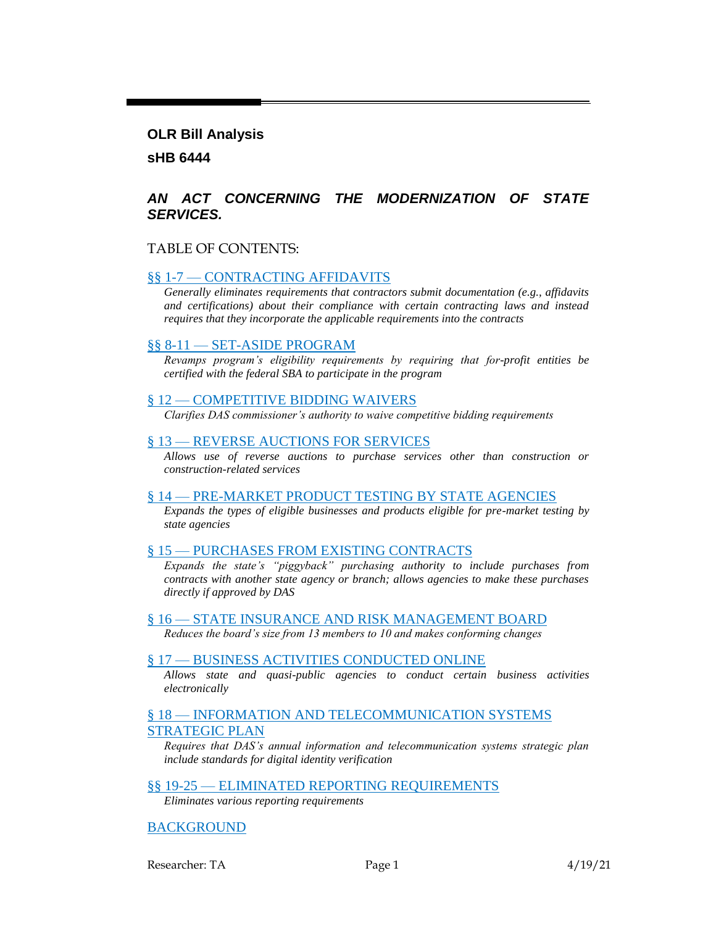#### **OLR Bill Analysis**

**sHB 6444**

### *AN ACT CONCERNING THE MODERNIZATION OF STATE SERVICES.*

#### TABLE OF CONTENTS:

#### §§ 1-7 — [CONTRACTING AFFIDAVITS](#page-1-0)

*[Generally eliminates requirements that contractors submit documentation \(e.g., affidavits](#page-1-1)  [and certifications\) about their compliance with certain contracting laws and instead](#page-1-1)  [requires that they incorporate the applicable requirements into the contracts](#page-1-1)*

#### §§ 8-11 — [SET-ASIDE PROGRAM](#page-6-0)

*[Revamps program's eligibility requirements by requiring that for-profit entities be](#page-6-1)  [certified with the federal SBA to participate in the program](#page-6-1)*

#### § 12 — [COMPETITIVE BIDDING WAIVERS](#page-7-0)

*[Clarifies DAS commissioner's authority to waive competitive bidding requirements](#page-7-1)*

#### § 13 — [REVERSE AUCTIONS FOR](#page-7-2) SERVICES

*[Allows use of reverse auctions to purchase services other than construction or](#page-7-3)  [construction-related services](#page-7-3)*

#### § 14 — [PRE-MARKET PRODUCT TESTING BY STATE AGENCIES](#page-8-0)

*[Expands the types of eligible businesses and products eligible for pre-market testing by](#page-8-1)  [state agencies](#page-8-1)*

#### § 15 — [PURCHASES FROM EXISTING CONTRACTS](#page-10-0)

*[Expands the state's "piggyback" purchasing authority to include purchases from](#page-10-1)  [contracts with another state agency or branch; allows agencies to make these purchases](#page-10-1)  [directly if approved by DAS](#page-10-1)*

#### § 16 — [STATE INSURANCE AND RISK MANAGEMENT BOARD](#page-11-0)

*[Reduces the board's size from 13 members to 10 and makes conforming changes](#page-11-1)*

#### § 17 — [BUSINESS ACTIVITIES CONDUCTED ONLINE](#page-11-2)

*[Allows state and quasi-public agencies to conduct certain business](#page-11-3) activities [electronically](#page-11-3)*

#### § 18 — INFORMATION AND TELECOMMUNICATION SYSTEMS [STRATEGIC PLAN](#page-12-0)

*[Requires that DAS's annual information and telecommunication systems strategic plan](#page-12-1)  include standards [for digital identity verification](#page-12-1)*

#### §§ 19-25 — [ELIMINATED REPORTING](#page-12-2) REQUIREMENTS

*[Eliminates various reporting requirements](#page-12-3)*

[BACKGROUND](#page-13-0)

Researcher: TA Page 1 4/19/21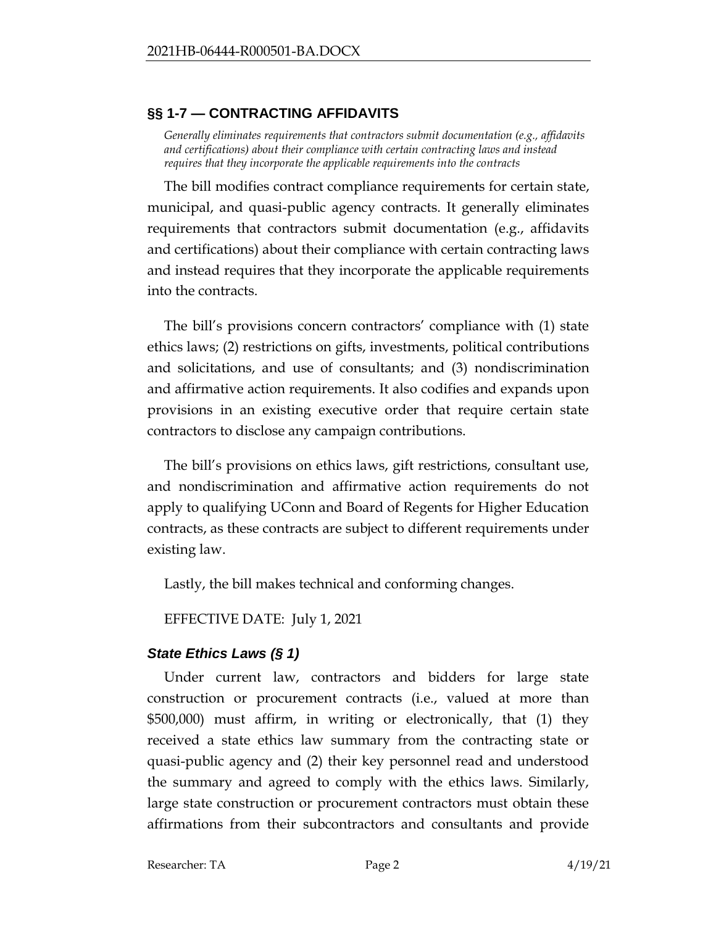## <span id="page-1-0"></span>**§§ 1-7 — CONTRACTING AFFIDAVITS**

<span id="page-1-1"></span>*Generally eliminates requirements that contractors submit documentation (e.g., affidavits and certifications) about their compliance with certain contracting laws and instead requires that they incorporate the applicable requirements into the contracts*

The bill modifies contract compliance requirements for certain state, municipal, and quasi-public agency contracts. It generally eliminates requirements that contractors submit documentation (e.g., affidavits and certifications) about their compliance with certain contracting laws and instead requires that they incorporate the applicable requirements into the contracts.

The bill's provisions concern contractors' compliance with (1) state ethics laws; (2) restrictions on gifts, investments, political contributions and solicitations, and use of consultants; and (3) nondiscrimination and affirmative action requirements. It also codifies and expands upon provisions in an existing executive order that require certain state contractors to disclose any campaign contributions.

The bill's provisions on ethics laws, gift restrictions, consultant use, and nondiscrimination and affirmative action requirements do not apply to qualifying UConn and Board of Regents for Higher Education contracts, as these contracts are subject to different requirements under existing law.

Lastly, the bill makes technical and conforming changes.

EFFECTIVE DATE: July 1, 2021

# *State Ethics Laws (§ 1)*

Under current law, contractors and bidders for large state construction or procurement contracts (i.e., valued at more than \$500,000) must affirm, in writing or electronically, that (1) they received a state ethics law summary from the contracting state or quasi-public agency and (2) their key personnel read and understood the summary and agreed to comply with the ethics laws. Similarly, large state construction or procurement contractors must obtain these affirmations from their subcontractors and consultants and provide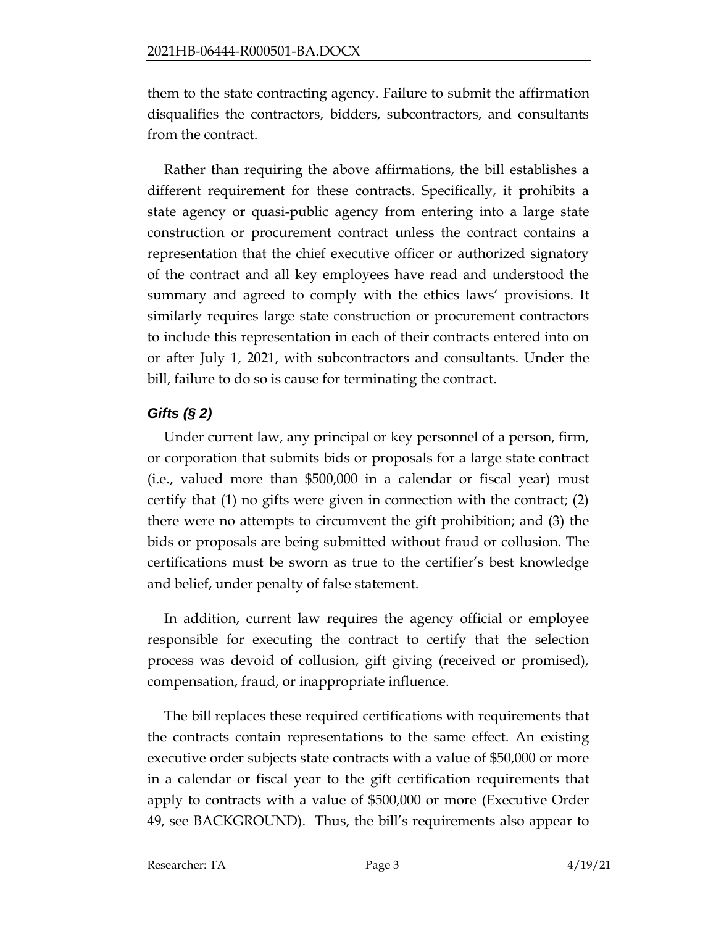them to the state contracting agency. Failure to submit the affirmation disqualifies the contractors, bidders, subcontractors, and consultants from the contract.

Rather than requiring the above affirmations, the bill establishes a different requirement for these contracts. Specifically, it prohibits a state agency or quasi-public agency from entering into a large state construction or procurement contract unless the contract contains a representation that the chief executive officer or authorized signatory of the contract and all key employees have read and understood the summary and agreed to comply with the ethics laws' provisions. It similarly requires large state construction or procurement contractors to include this representation in each of their contracts entered into on or after July 1, 2021, with subcontractors and consultants. Under the bill, failure to do so is cause for terminating the contract.

# *Gifts (§ 2)*

Under current law, any principal or key personnel of a person, firm, or corporation that submits bids or proposals for a large state contract (i.e., valued more than \$500,000 in a calendar or fiscal year) must certify that (1) no gifts were given in connection with the contract; (2) there were no attempts to circumvent the gift prohibition; and (3) the bids or proposals are being submitted without fraud or collusion. The certifications must be sworn as true to the certifier's best knowledge and belief, under penalty of false statement.

In addition, current law requires the agency official or employee responsible for executing the contract to certify that the selection process was devoid of collusion, gift giving (received or promised), compensation, fraud, or inappropriate influence.

The bill replaces these required certifications with requirements that the contracts contain representations to the same effect. An existing executive order subjects state contracts with a value of \$50,000 or more in a calendar or fiscal year to the gift certification requirements that apply to contracts with a value of \$500,000 or more (Executive Order 49, see BACKGROUND). Thus, the bill's requirements also appear to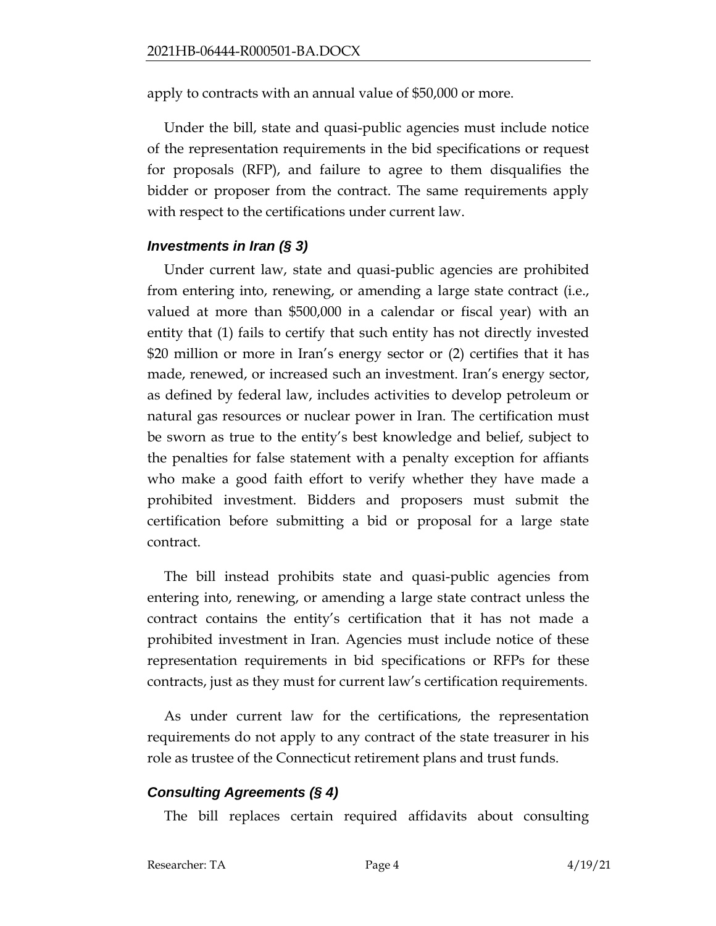apply to contracts with an annual value of \$50,000 or more.

Under the bill, state and quasi-public agencies must include notice of the representation requirements in the bid specifications or request for proposals (RFP), and failure to agree to them disqualifies the bidder or proposer from the contract. The same requirements apply with respect to the certifications under current law.

## *Investments in Iran (§ 3)*

Under current law, state and quasi-public agencies are prohibited from entering into, renewing, or amending a large state contract (i.e., valued at more than \$500,000 in a calendar or fiscal year) with an entity that (1) fails to certify that such entity has not directly invested \$20 million or more in Iran's energy sector or (2) certifies that it has made, renewed, or increased such an investment. Iran's energy sector, as defined by federal law, includes activities to develop petroleum or natural gas resources or nuclear power in Iran. The certification must be sworn as true to the entity's best knowledge and belief, subject to the penalties for false statement with a penalty exception for affiants who make a good faith effort to verify whether they have made a prohibited investment. Bidders and proposers must submit the certification before submitting a bid or proposal for a large state contract.

The bill instead prohibits state and quasi-public agencies from entering into, renewing, or amending a large state contract unless the contract contains the entity's certification that it has not made a prohibited investment in Iran. Agencies must include notice of these representation requirements in bid specifications or RFPs for these contracts, just as they must for current law's certification requirements.

As under current law for the certifications, the representation requirements do not apply to any contract of the state treasurer in his role as trustee of the Connecticut retirement plans and trust funds.

## *Consulting Agreements (§ 4)*

The bill replaces certain required affidavits about consulting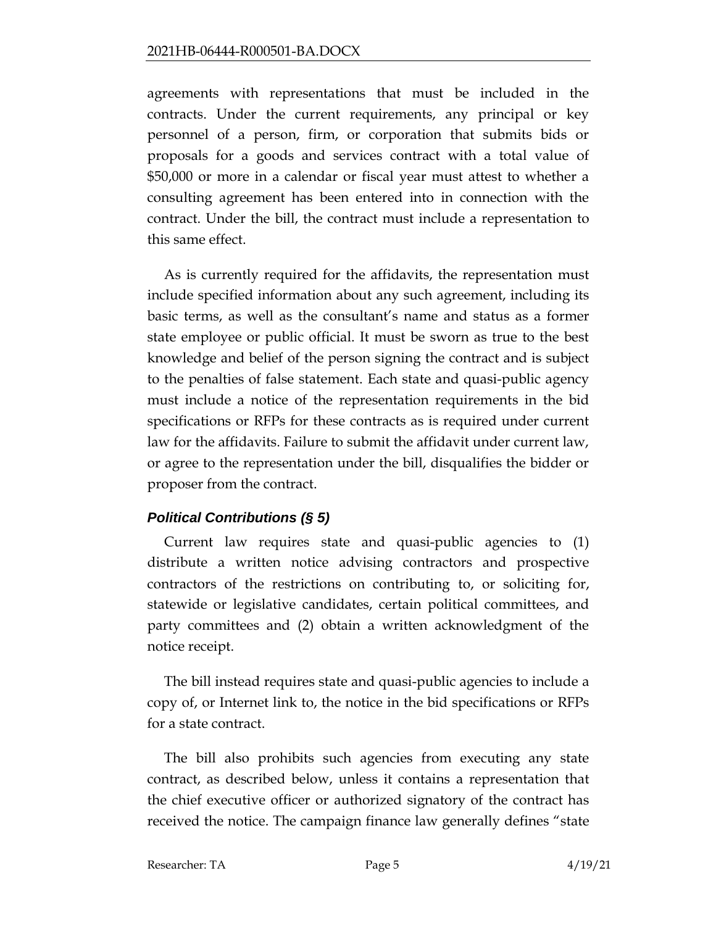agreements with representations that must be included in the contracts. Under the current requirements, any principal or key personnel of a person, firm, or corporation that submits bids or proposals for a goods and services contract with a total value of \$50,000 or more in a calendar or fiscal year must attest to whether a consulting agreement has been entered into in connection with the contract. Under the bill, the contract must include a representation to this same effect.

As is currently required for the affidavits, the representation must include specified information about any such agreement, including its basic terms, as well as the consultant's name and status as a former state employee or public official. It must be sworn as true to the best knowledge and belief of the person signing the contract and is subject to the penalties of false statement. Each state and quasi-public agency must include a notice of the representation requirements in the bid specifications or RFPs for these contracts as is required under current law for the affidavits. Failure to submit the affidavit under current law, or agree to the representation under the bill, disqualifies the bidder or proposer from the contract.

# *Political Contributions (§ 5)*

Current law requires state and quasi-public agencies to (1) distribute a written notice advising contractors and prospective contractors of the restrictions on contributing to, or soliciting for, statewide or legislative candidates, certain political committees, and party committees and (2) obtain a written acknowledgment of the notice receipt.

The bill instead requires state and quasi-public agencies to include a copy of, or Internet link to, the notice in the bid specifications or RFPs for a state contract.

The bill also prohibits such agencies from executing any state contract, as described below, unless it contains a representation that the chief executive officer or authorized signatory of the contract has received the notice. The campaign finance law generally defines "state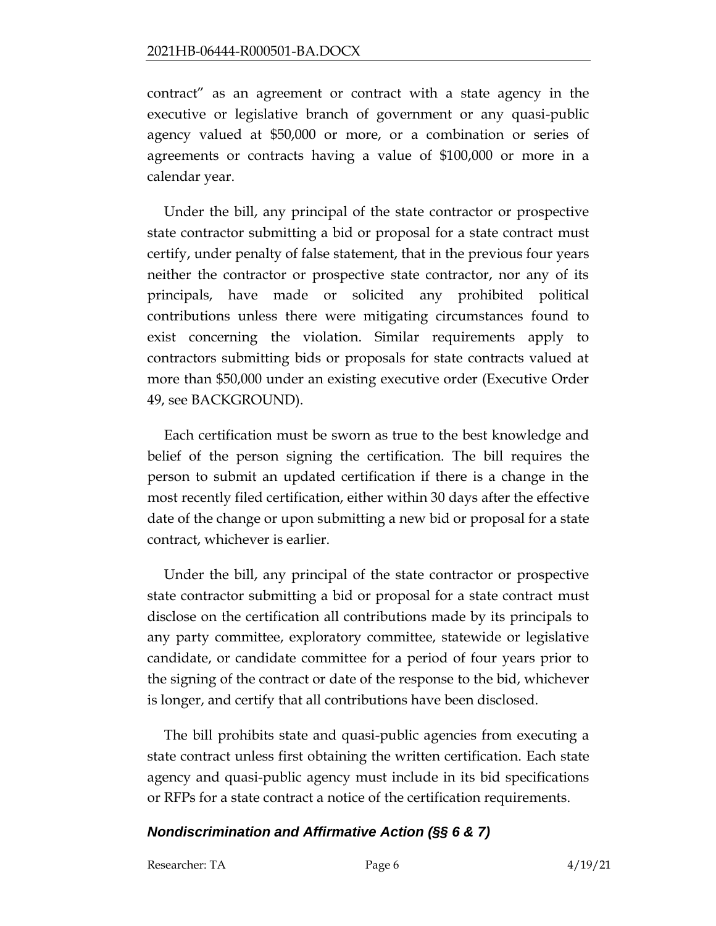contract" as an agreement or contract with a state agency in the executive or legislative branch of government or any quasi-public agency valued at \$50,000 or more, or a combination or series of agreements or contracts having a value of \$100,000 or more in a calendar year.

Under the bill, any principal of the state contractor or prospective state contractor submitting a bid or proposal for a state contract must certify, under penalty of false statement, that in the previous four years neither the contractor or prospective state contractor, nor any of its principals, have made or solicited any prohibited political contributions unless there were mitigating circumstances found to exist concerning the violation. Similar requirements apply to contractors submitting bids or proposals for state contracts valued at more than \$50,000 under an existing executive order (Executive Order 49, see BACKGROUND).

Each certification must be sworn as true to the best knowledge and belief of the person signing the certification. The bill requires the person to submit an updated certification if there is a change in the most recently filed certification, either within 30 days after the effective date of the change or upon submitting a new bid or proposal for a state contract, whichever is earlier.

Under the bill, any principal of the state contractor or prospective state contractor submitting a bid or proposal for a state contract must disclose on the certification all contributions made by its principals to any party committee, exploratory committee, statewide or legislative candidate, or candidate committee for a period of four years prior to the signing of the contract or date of the response to the bid, whichever is longer, and certify that all contributions have been disclosed.

The bill prohibits state and quasi-public agencies from executing a state contract unless first obtaining the written certification. Each state agency and quasi-public agency must include in its bid specifications or RFPs for a state contract a notice of the certification requirements.

### *Nondiscrimination and Affirmative Action (§§ 6 & 7)*

Researcher: TA Page 6 4/19/21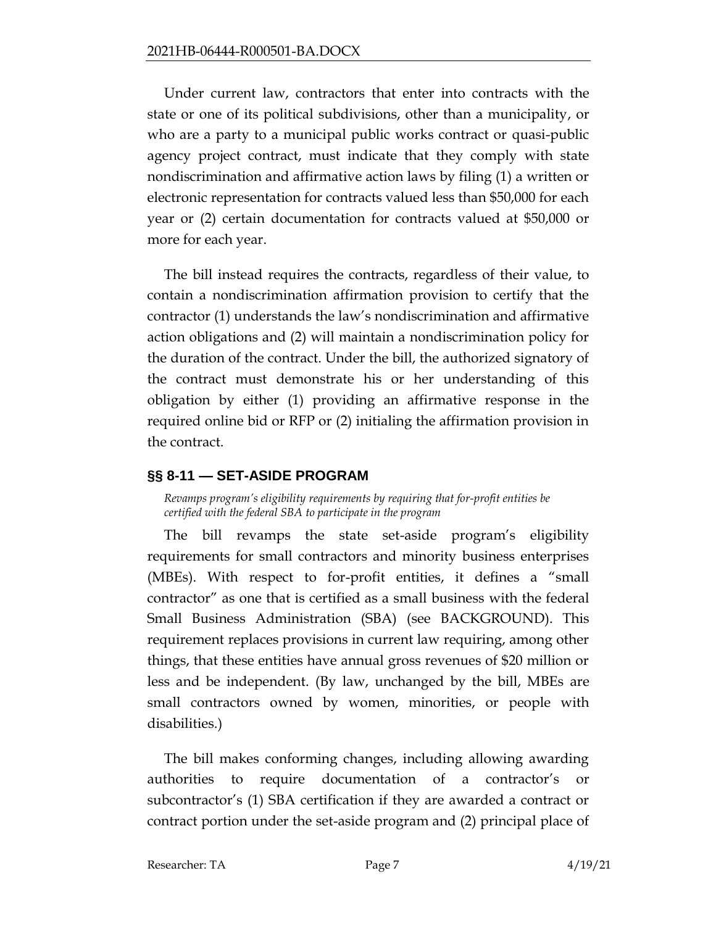Under current law, contractors that enter into contracts with the state or one of its political subdivisions, other than a municipality, or who are a party to a municipal public works contract or quasi-public agency project contract, must indicate that they comply with state nondiscrimination and affirmative action laws by filing (1) a written or electronic representation for contracts valued less than \$50,000 for each year or (2) certain documentation for contracts valued at \$50,000 or more for each year.

The bill instead requires the contracts, regardless of their value, to contain a nondiscrimination affirmation provision to certify that the contractor (1) understands the law's nondiscrimination and affirmative action obligations and (2) will maintain a nondiscrimination policy for the duration of the contract. Under the bill, the authorized signatory of the contract must demonstrate his or her understanding of this obligation by either (1) providing an affirmative response in the required online bid or RFP or (2) initialing the affirmation provision in the contract.

## <span id="page-6-0"></span>**§§ 8-11 — SET-ASIDE PROGRAM**

<span id="page-6-1"></span>*Revamps program's eligibility requirements by requiring that for-profit entities be certified with the federal SBA to participate in the program*

The bill revamps the state set-aside program's eligibility requirements for small contractors and minority business enterprises (MBEs). With respect to for-profit entities, it defines a "small contractor" as one that is certified as a small business with the federal Small Business Administration (SBA) (see BACKGROUND). This requirement replaces provisions in current law requiring, among other things, that these entities have annual gross revenues of \$20 million or less and be independent. (By law, unchanged by the bill, MBEs are small contractors owned by women, minorities, or people with disabilities.)

The bill makes conforming changes, including allowing awarding authorities to require documentation of a contractor's or subcontractor's (1) SBA certification if they are awarded a contract or contract portion under the set-aside program and (2) principal place of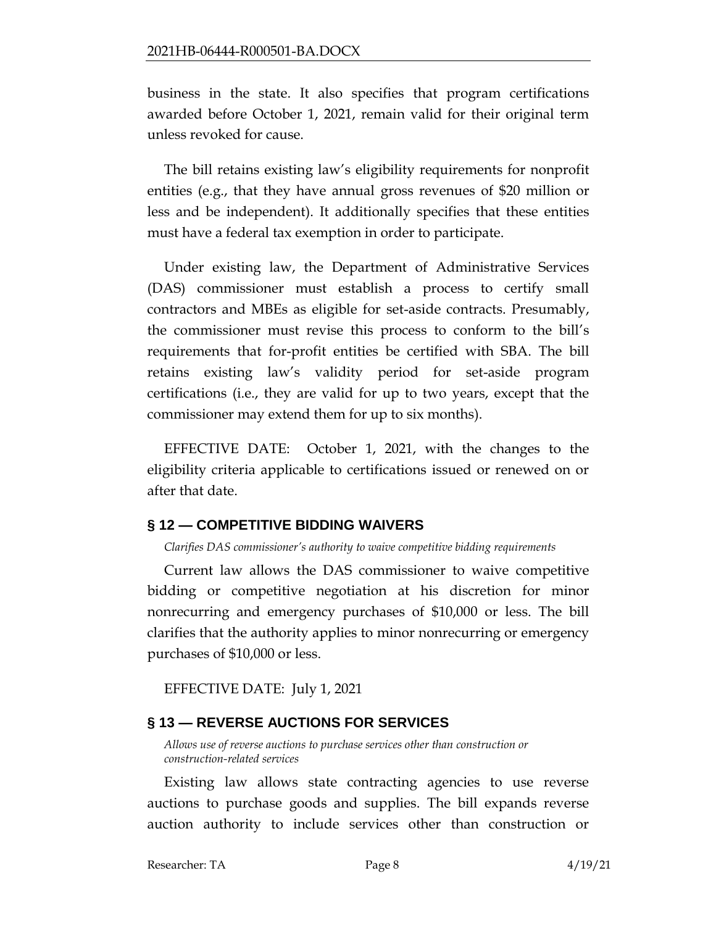business in the state. It also specifies that program certifications awarded before October 1, 2021, remain valid for their original term unless revoked for cause.

The bill retains existing law's eligibility requirements for nonprofit entities (e.g., that they have annual gross revenues of \$20 million or less and be independent). It additionally specifies that these entities must have a federal tax exemption in order to participate.

Under existing law, the Department of Administrative Services (DAS) commissioner must establish a process to certify small contractors and MBEs as eligible for set-aside contracts. Presumably, the commissioner must revise this process to conform to the bill's requirements that for-profit entities be certified with SBA. The bill retains existing law's validity period for set-aside program certifications (i.e., they are valid for up to two years, except that the commissioner may extend them for up to six months).

EFFECTIVE DATE: October 1, 2021, with the changes to the eligibility criteria applicable to certifications issued or renewed on or after that date.

### <span id="page-7-0"></span>**§ 12 — COMPETITIVE BIDDING WAIVERS**

<span id="page-7-1"></span>*Clarifies DAS commissioner's authority to waive competitive bidding requirements*

Current law allows the DAS commissioner to waive competitive bidding or competitive negotiation at his discretion for minor nonrecurring and emergency purchases of \$10,000 or less. The bill clarifies that the authority applies to minor nonrecurring or emergency purchases of \$10,000 or less.

EFFECTIVE DATE: July 1, 2021

### <span id="page-7-2"></span>**§ 13 — REVERSE AUCTIONS FOR SERVICES**

<span id="page-7-3"></span>*Allows use of reverse auctions to purchase services other than construction or construction-related services*

Existing law allows state contracting agencies to use reverse auctions to purchase goods and supplies. The bill expands reverse auction authority to include services other than construction or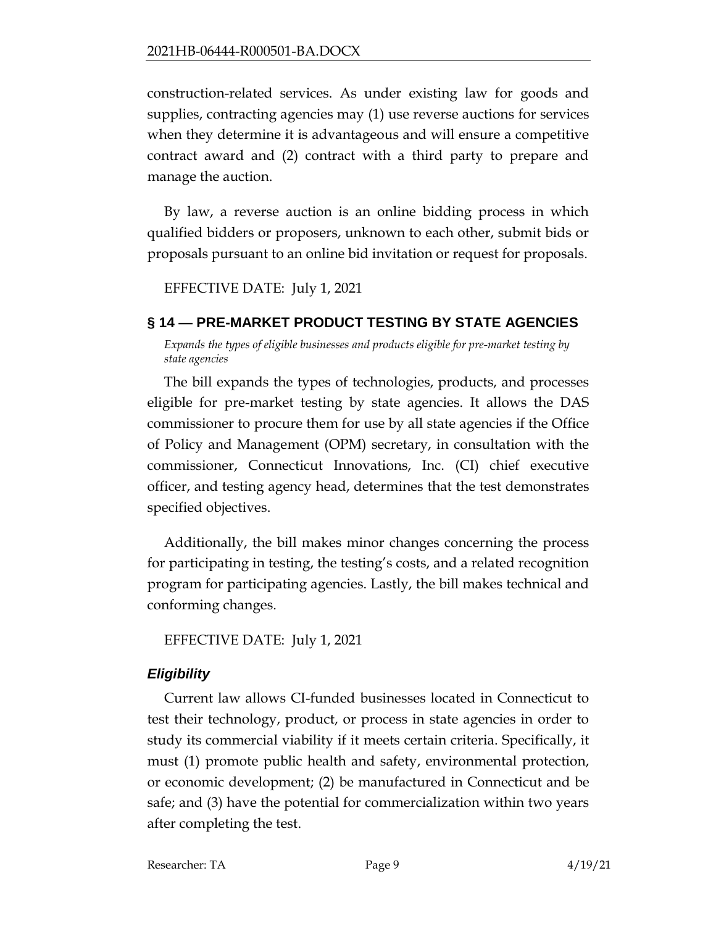construction-related services. As under existing law for goods and supplies, contracting agencies may (1) use reverse auctions for services when they determine it is advantageous and will ensure a competitive contract award and (2) contract with a third party to prepare and manage the auction.

By law, a reverse auction is an online bidding process in which qualified bidders or proposers, unknown to each other, submit bids or proposals pursuant to an online bid invitation or request for proposals.

EFFECTIVE DATE: July 1, 2021

## <span id="page-8-0"></span>**§ 14 — PRE-MARKET PRODUCT TESTING BY STATE AGENCIES**

<span id="page-8-1"></span>*Expands the types of eligible businesses and products eligible for pre-market testing by state agencies*

The bill expands the types of technologies, products, and processes eligible for pre-market testing by state agencies. It allows the DAS commissioner to procure them for use by all state agencies if the Office of Policy and Management (OPM) secretary, in consultation with the commissioner, Connecticut Innovations, Inc. (CI) chief executive officer, and testing agency head, determines that the test demonstrates specified objectives.

Additionally, the bill makes minor changes concerning the process for participating in testing, the testing's costs, and a related recognition program for participating agencies. Lastly, the bill makes technical and conforming changes.

EFFECTIVE DATE: July 1, 2021

# *Eligibility*

Current law allows CI-funded businesses located in Connecticut to test their technology, product, or process in state agencies in order to study its commercial viability if it meets certain criteria. Specifically, it must (1) promote public health and safety, environmental protection, or economic development; (2) be manufactured in Connecticut and be safe; and (3) have the potential for commercialization within two years after completing the test.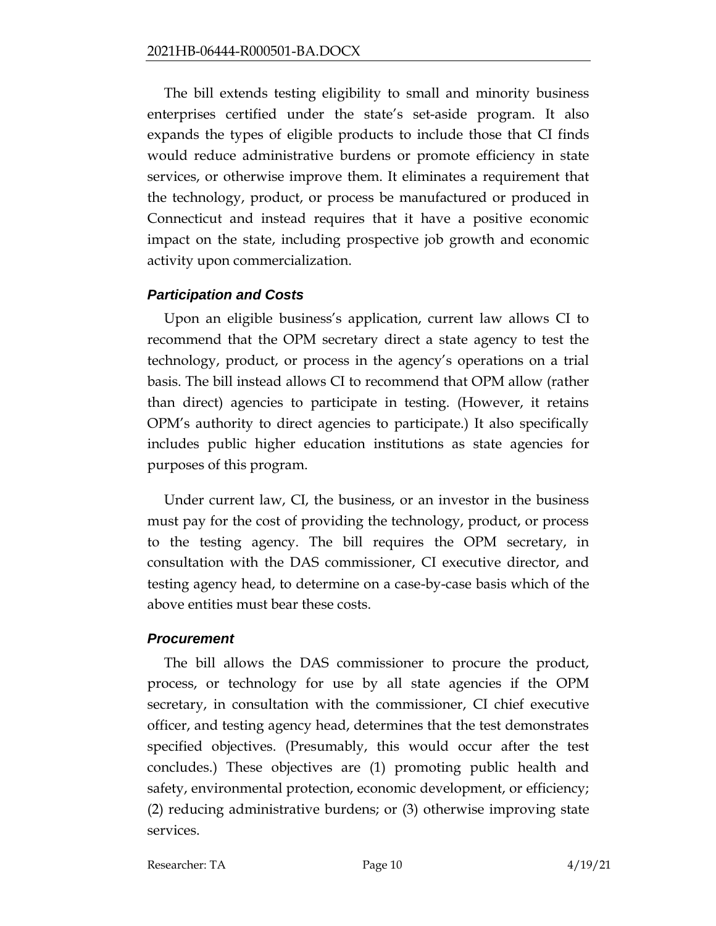The bill extends testing eligibility to small and minority business enterprises certified under the state's set-aside program. It also expands the types of eligible products to include those that CI finds would reduce administrative burdens or promote efficiency in state services, or otherwise improve them. It eliminates a requirement that the technology, product, or process be manufactured or produced in Connecticut and instead requires that it have a positive economic impact on the state, including prospective job growth and economic activity upon commercialization.

### *Participation and Costs*

Upon an eligible business's application, current law allows CI to recommend that the OPM secretary direct a state agency to test the technology, product, or process in the agency's operations on a trial basis. The bill instead allows CI to recommend that OPM allow (rather than direct) agencies to participate in testing. (However, it retains OPM's authority to direct agencies to participate.) It also specifically includes public higher education institutions as state agencies for purposes of this program.

Under current law, CI, the business, or an investor in the business must pay for the cost of providing the technology, product, or process to the testing agency. The bill requires the OPM secretary, in consultation with the DAS commissioner, CI executive director, and testing agency head, to determine on a case-by-case basis which of the above entities must bear these costs.

## *Procurement*

The bill allows the DAS commissioner to procure the product, process, or technology for use by all state agencies if the OPM secretary, in consultation with the commissioner, CI chief executive officer, and testing agency head, determines that the test demonstrates specified objectives. (Presumably, this would occur after the test concludes.) These objectives are (1) promoting public health and safety, environmental protection, economic development, or efficiency; (2) reducing administrative burdens; or (3) otherwise improving state services.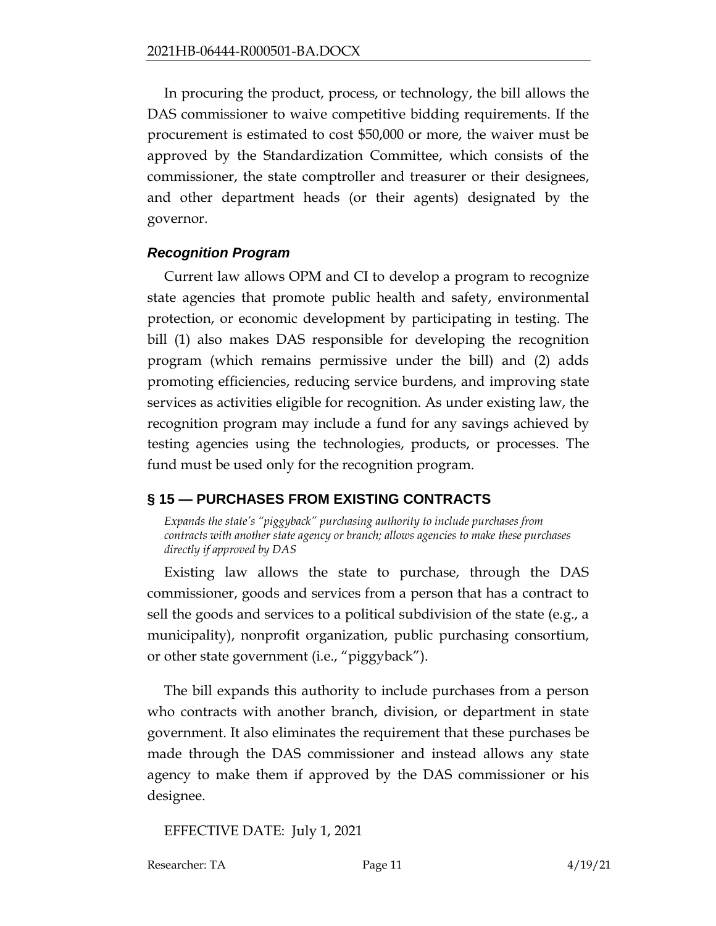In procuring the product, process, or technology, the bill allows the DAS commissioner to waive competitive bidding requirements. If the procurement is estimated to cost \$50,000 or more, the waiver must be approved by the Standardization Committee, which consists of the commissioner, the state comptroller and treasurer or their designees, and other department heads (or their agents) designated by the governor.

### *Recognition Program*

Current law allows OPM and CI to develop a program to recognize state agencies that promote public health and safety, environmental protection, or economic development by participating in testing. The bill (1) also makes DAS responsible for developing the recognition program (which remains permissive under the bill) and (2) adds promoting efficiencies, reducing service burdens, and improving state services as activities eligible for recognition. As under existing law, the recognition program may include a fund for any savings achieved by testing agencies using the technologies, products, or processes. The fund must be used only for the recognition program.

## <span id="page-10-0"></span>**§ 15 — PURCHASES FROM EXISTING CONTRACTS**

<span id="page-10-1"></span>*Expands the state's "piggyback" purchasing authority to include purchases from contracts with another state agency or branch; allows agencies to make these purchases directly if approved by DAS*

Existing law allows the state to purchase, through the DAS commissioner, goods and services from a person that has a contract to sell the goods and services to a political subdivision of the state (e.g., a municipality), nonprofit organization, public purchasing consortium, or other state government (i.e., "piggyback").

The bill expands this authority to include purchases from a person who contracts with another branch, division, or department in state government. It also eliminates the requirement that these purchases be made through the DAS commissioner and instead allows any state agency to make them if approved by the DAS commissioner or his designee.

EFFECTIVE DATE: July 1, 2021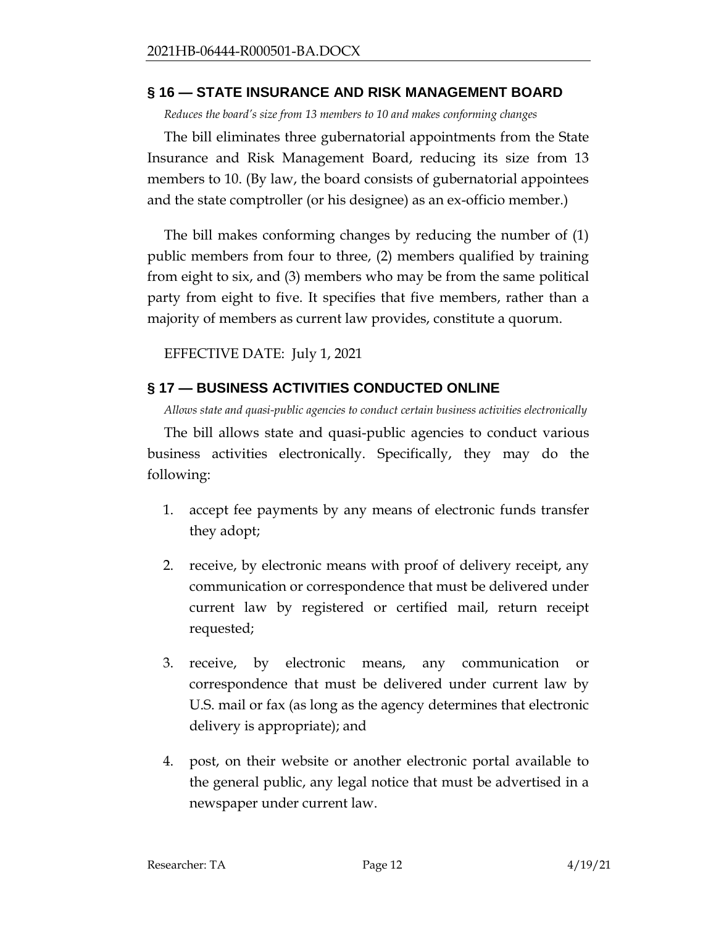### <span id="page-11-0"></span>**§ 16 — STATE INSURANCE AND RISK MANAGEMENT BOARD**

<span id="page-11-1"></span>*Reduces the board's size from 13 members to 10 and makes conforming changes*

The bill eliminates three gubernatorial appointments from the State Insurance and Risk Management Board, reducing its size from 13 members to 10. (By law, the board consists of gubernatorial appointees and the state comptroller (or his designee) as an ex-officio member.)

The bill makes conforming changes by reducing the number of (1) public members from four to three, (2) members qualified by training from eight to six, and (3) members who may be from the same political party from eight to five. It specifies that five members, rather than a majority of members as current law provides, constitute a quorum.

EFFECTIVE DATE: July 1, 2021

## <span id="page-11-2"></span>**§ 17 — BUSINESS ACTIVITIES CONDUCTED ONLINE**

<span id="page-11-3"></span>*Allows state and quasi-public agencies to conduct certain business activities electronically*

The bill allows state and quasi-public agencies to conduct various business activities electronically. Specifically, they may do the following:

- 1. accept fee payments by any means of electronic funds transfer they adopt;
- 2. receive, by electronic means with proof of delivery receipt, any communication or correspondence that must be delivered under current law by registered or certified mail, return receipt requested;
- 3. receive, by electronic means, any communication or correspondence that must be delivered under current law by U.S. mail or fax (as long as the agency determines that electronic delivery is appropriate); and
- 4. post, on their website or another electronic portal available to the general public, any legal notice that must be advertised in a newspaper under current law.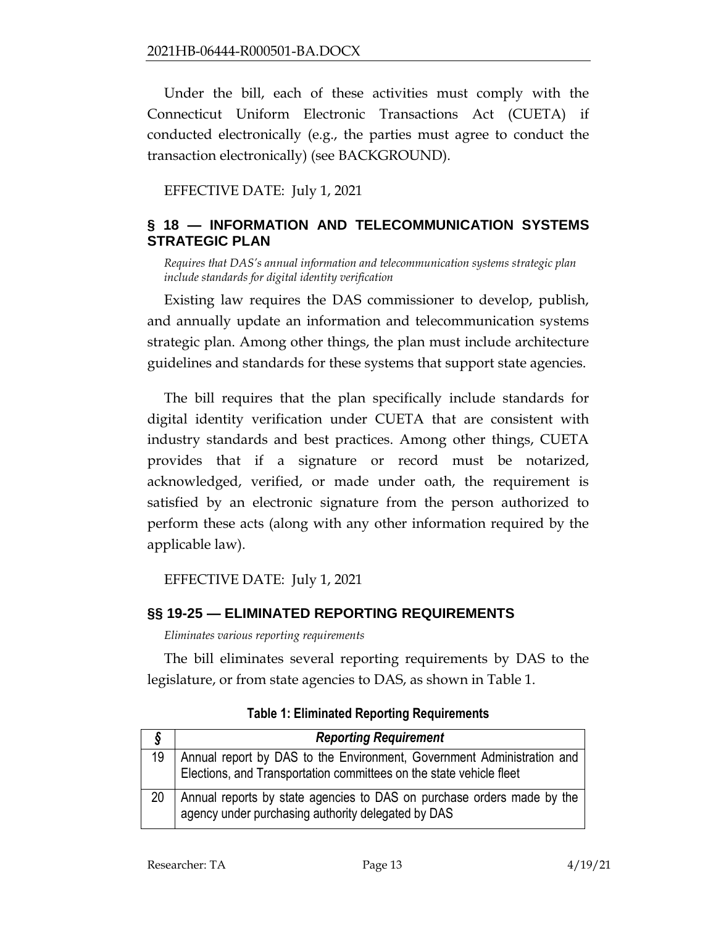Under the bill, each of these activities must comply with the Connecticut Uniform Electronic Transactions Act (CUETA) if conducted electronically (e.g., the parties must agree to conduct the transaction electronically) (see BACKGROUND).

EFFECTIVE DATE: July 1, 2021

## <span id="page-12-0"></span>**§ 18 — INFORMATION AND TELECOMMUNICATION SYSTEMS STRATEGIC PLAN**

<span id="page-12-1"></span>*Requires that DAS's annual information and telecommunication systems strategic plan include standards for digital identity verification*

Existing law requires the DAS commissioner to develop, publish, and annually update an information and telecommunication systems strategic plan. Among other things, the plan must include architecture guidelines and standards for these systems that support state agencies.

The bill requires that the plan specifically include standards for digital identity verification under CUETA that are consistent with industry standards and best practices. Among other things, CUETA provides that if a signature or record must be notarized, acknowledged, verified, or made under oath, the requirement is satisfied by an electronic signature from the person authorized to perform these acts (along with any other information required by the applicable law).

EFFECTIVE DATE: July 1, 2021

## <span id="page-12-2"></span>**§§ 19-25 — ELIMINATED REPORTING REQUIREMENTS**

<span id="page-12-3"></span>*Eliminates various reporting requirements*

The bill eliminates several reporting requirements by DAS to the legislature, or from state agencies to DAS, as shown in Table 1.

|    | <b>Reporting Requirement</b>                                                                                                                  |
|----|-----------------------------------------------------------------------------------------------------------------------------------------------|
| 19 | Annual report by DAS to the Environment, Government Administration and<br>Elections, and Transportation committees on the state vehicle fleet |
| 20 | Annual reports by state agencies to DAS on purchase orders made by the<br>agency under purchasing authority delegated by DAS                  |

**Table 1: Eliminated Reporting Requirements**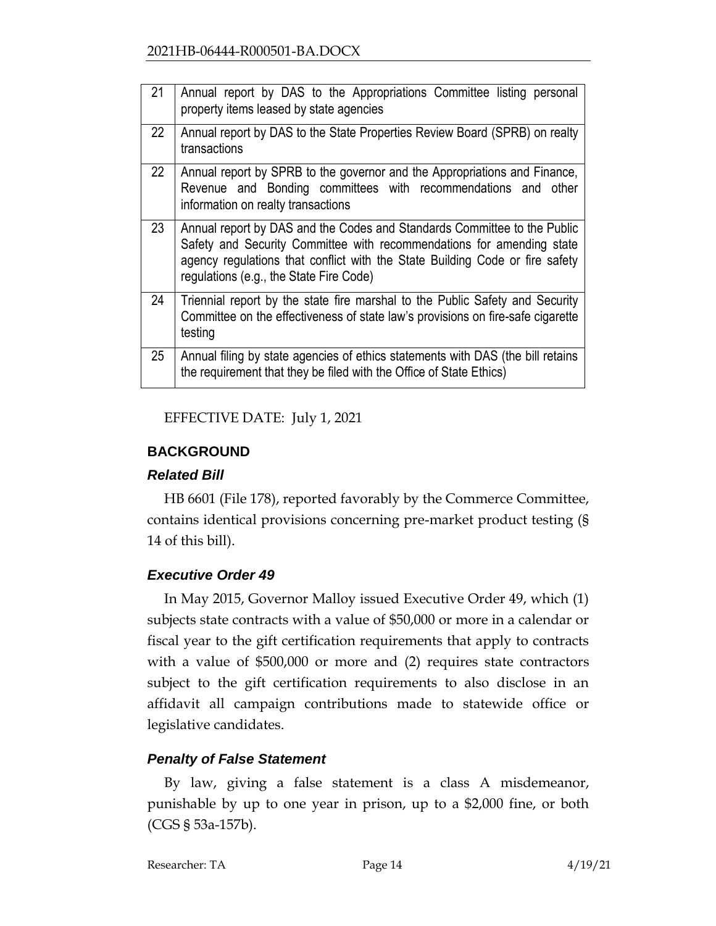| 21 | Annual report by DAS to the Appropriations Committee listing personal<br>property items leased by state agencies                                                                                                                                                             |
|----|------------------------------------------------------------------------------------------------------------------------------------------------------------------------------------------------------------------------------------------------------------------------------|
| 22 | Annual report by DAS to the State Properties Review Board (SPRB) on realty<br>transactions                                                                                                                                                                                   |
| 22 | Annual report by SPRB to the governor and the Appropriations and Finance,<br>Revenue and Bonding committees with recommendations and other<br>information on realty transactions                                                                                             |
| 23 | Annual report by DAS and the Codes and Standards Committee to the Public<br>Safety and Security Committee with recommendations for amending state<br>agency regulations that conflict with the State Building Code or fire safety<br>regulations (e.g., the State Fire Code) |
| 24 | Triennial report by the state fire marshal to the Public Safety and Security<br>Committee on the effectiveness of state law's provisions on fire-safe cigarette<br>testing                                                                                                   |
| 25 | Annual filing by state agencies of ethics statements with DAS (the bill retains<br>the requirement that they be filed with the Office of State Ethics)                                                                                                                       |

EFFECTIVE DATE: July 1, 2021

## <span id="page-13-0"></span>**BACKGROUND**

## *Related Bill*

HB 6601 (File 178), reported favorably by the Commerce Committee, contains identical provisions concerning pre-market product testing (§ 14 of this bill).

# *Executive Order 49*

In May 2015, Governor Malloy issued Executive Order 49, which (1) subjects state contracts with a value of \$50,000 or more in a calendar or fiscal year to the gift certification requirements that apply to contracts with a value of \$500,000 or more and (2) requires state contractors subject to the gift certification requirements to also disclose in an affidavit all campaign contributions made to statewide office or legislative candidates.

# *Penalty of False Statement*

By law, giving a false statement is a class A misdemeanor, punishable by up to one year in prison, up to a \$2,000 fine, or both (CGS § 53a-157b).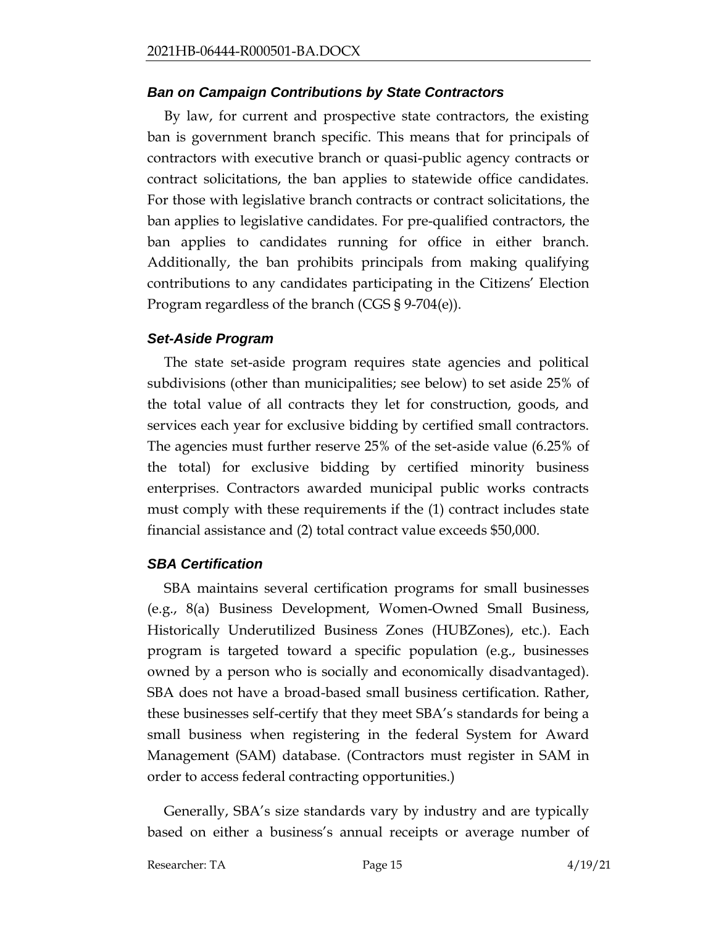### *Ban on Campaign Contributions by State Contractors*

By law, for current and prospective state contractors, the existing ban is government branch specific. This means that for principals of contractors with executive branch or quasi-public agency contracts or contract solicitations, the ban applies to statewide office candidates. For those with legislative branch contracts or contract solicitations, the ban applies to legislative candidates. For pre-qualified contractors, the ban applies to candidates running for office in either branch. Additionally, the ban prohibits principals from making qualifying contributions to any candidates participating in the Citizens' Election Program regardless of the branch (CGS § 9-704(e)).

### *Set-Aside Program*

The state set-aside program requires state agencies and political subdivisions (other than municipalities; see below) to set aside 25% of the total value of all contracts they let for construction, goods, and services each year for exclusive bidding by certified small contractors. The agencies must further reserve 25% of the set-aside value (6.25% of the total) for exclusive bidding by certified minority business enterprises. Contractors awarded municipal public works contracts must comply with these requirements if the (1) contract includes state financial assistance and (2) total contract value exceeds \$50,000.

## *SBA Certification*

SBA maintains several certification programs for small businesses (e.g., 8(a) Business Development, Women-Owned Small Business, Historically Underutilized Business Zones (HUBZones), etc.). Each program is targeted toward a specific population (e.g., businesses owned by a person who is socially and economically disadvantaged). SBA does not have a broad-based small business certification. Rather, these businesses self-certify that they meet SBA's standards for being a small business when registering in the federal System for Award Management (SAM) database. (Contractors must register in SAM in order to access federal contracting opportunities.)

Generally, SBA's size standards vary by industry and are typically based on either a business's annual receipts or average number of

Researcher: TA Page 15 4/19/21